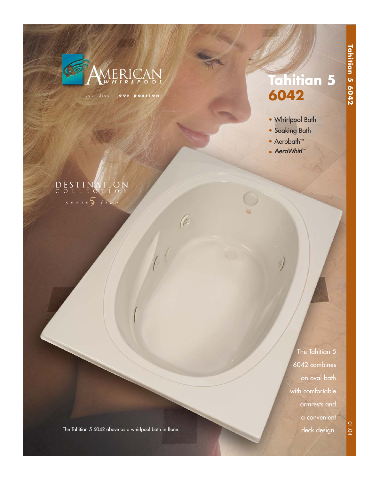

your dream [ **our passion** ]

 $\sqrt{6}$ 

# **Tahitian 5 6042**

- Whirlpool Bath
- Soaking Bath
- Aerobath™
- AeroWhirl™

## *5 series five* DESTINATION COLLECTION

The Tahitian 5 6042 combines an oval bath with comfortable armrests and a convenient deck design.

01.04

The Tahitian 5 6042 above as a whirlpool bath in Bone.